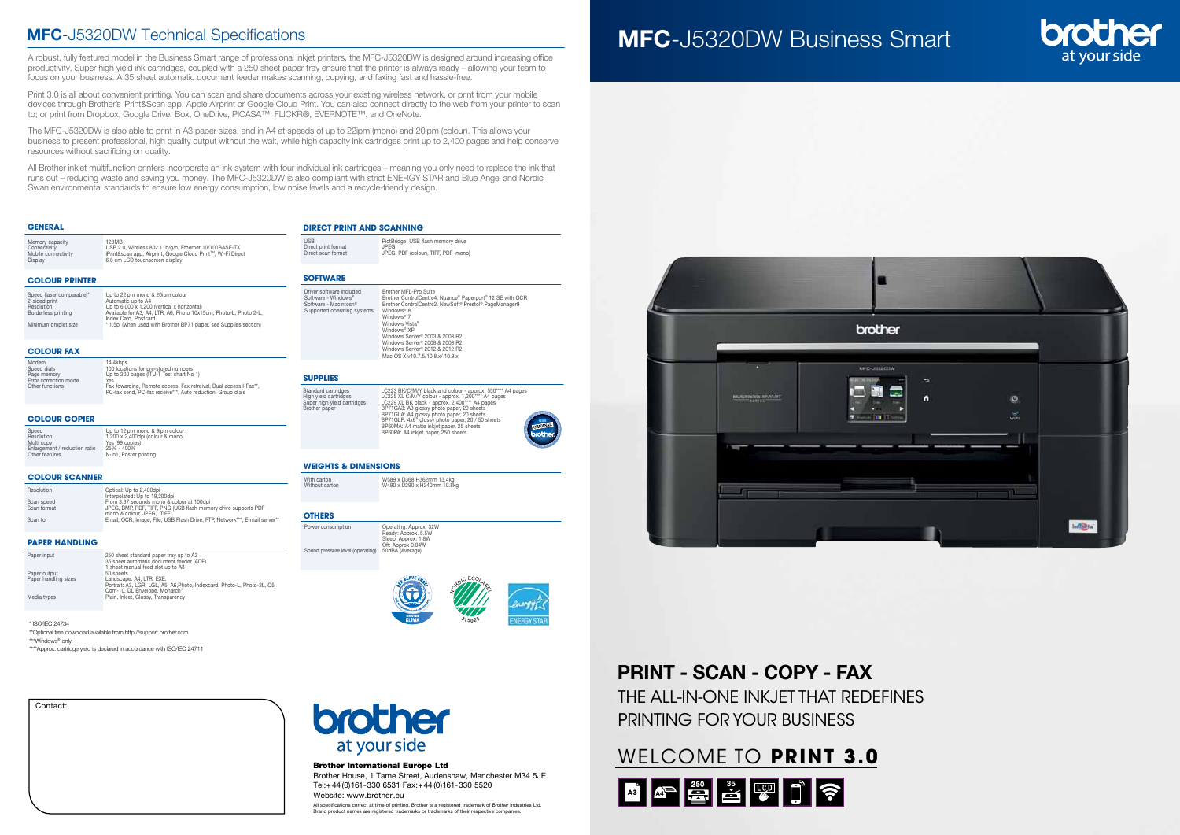| Contact: |  |
|----------|--|
|          |  |
|          |  |
|          |  |
|          |  |
|          |  |
|          |  |
|          |  |
|          |  |

#### Brother International Europe Ltd

Brother House, 1 Tame Street, Audenshaw, Manchester M34 5JE Tel:+44 (0)161-330 6531 Fax:+44 (0)161-330 5520 Website: www.brother.eu

All specifications correct at time of printing. Brother is a registered trademark of Brother Industries Ltd. Brand product names are registered trademarks or trademarks of their respective companies.

#### **Colour Printer**

#### **Colour Fax**

#### **Colour Copier**

#### **Colour Scanner**

#### **Paper Handling**

#### **Supplies**

Memory capacity Connectivity USB 2.0, Wireless 802.11b/g/n, Ethernet 10/100BASE-TX Mobile connectivity iPrint&scan app, Airprint, Google Cloud PrintTM, Wi-Fi Direct Display 6.8 cm LCD touchscreen display

| Modem                 | 14.4kbps                                                                                                                          |
|-----------------------|-----------------------------------------------------------------------------------------------------------------------------------|
| Speed dials           | 100 locations for pre-stored numbers                                                                                              |
| Page memory           | Up to 200 pages (ITU-T Test chart No 1)                                                                                           |
| Error correction mode | Yes                                                                                                                               |
| Other functions       | Fax fowarding, Remote access, Fax retreival, Dual access, I-Fax**,<br>PC-fax send. PC-fax receive***, Auto reduction. Group dials |
|                       |                                                                                                                                   |

Power consumption Operating: Approx. 32W Ready: Approx. 5.5W Sleep: Approx. 1.8W Off: Approx 0.04W Sound pressure level (operating)

use  $UPP$ <sup>1</sup> $e_s$ s <sub>p</sub> j a e s e s Standard cartridges<br>
Standard cartridges<br>
High yield cartridges<br>
EC225 XL C/M/Y olack - approx. 1,200\*\*\* A4 pages<br>
Super high yield cartridges<br>
BP71GLA: A4 glossy photo paper, 20 sheets<br>
BP71GLA: A4 glossy photo paper, 20

| Speed                         | Up to 12ipm mono & 9ipm colour   |
|-------------------------------|----------------------------------|
| Resolution                    | 1,200 x 2,400dpi (colour & mono) |
| Multi copy                    | Yes (99 copies)                  |
| Enlargement / reduction ratio | $25\% - 400\%$                   |
| Other features                | N-in1. Poster printing           |

<sup>s</sup> <sup>p</sup> <sup>u</sup>  $^{\circ}$  arra

#### **GENERAL**

#### **Software**

#### **Weights & Dimensions**

With carton W589 x D368 H362mm 13.4kg Without carton W490 x D290 x H240mm 10.8kg

#### **Direct PRINT AND SCANNING**

PictBridge, USB flash memory drive Direct print format<br>Direct scan format JPEG, PDF (colour), TIFF, PDF (mono)

#### **Others**

p

## **MFC-J5320DW Technical Specifications**

A robust, fully featured model in the Business Smart range of professional inkjet printers, the MFC-J5320DW is designed around increasing office productivity. Super high yield ink cartridges, coupled with a 250 sheet paper tray ensure that the printer is always ready – allowing your team to focus on your business. A 35 sheet automatic document feeder makes scanning, copying, and faxing fast and hassle-free.

Print 3.0 is all about convenient printing. You can scan and share documents across your existing wireless network, or print from your mobile devices through Brother's iPrint&Scan app, Apple Airprint or Google Cloud Print. You can also connect directly to the web from your printer to scan to; or print from Dropbox, Google Drive, Box, OneDrive, PICASA™, FLICKR®, EVERNOTE™, and OneNote.

The MFC-J5320DW is also able to print in A3 paper sizes, and in A4 at speeds of up to 22ipm (mono) and 20ipm (colour). This allows your business to present professional, high quality output without the wait, while high capacity ink cartridges print up to 2,400 pages and help conserve resources without sacrificing on quality.

All Brother inkjet multifunction printers incorporate an ink system with four individual ink cartridges – meaning you only need to replace the ink that runs out – reducing waste and saving you money. The MFC-J5320DW is also compliant with strict ENERGY STAR and Blue Angel and Nordic Swan environmental standards to ensure low energy consumption, low noise levels and a recycle-friendly design.

| Resolution                | Optical: Up to 2.400dpi<br>Interpolated: Up to 19,200dpi                                                    |
|---------------------------|-------------------------------------------------------------------------------------------------------------|
| Scan speed<br>Scan format | From 3.37 seconds mono & colour at 100dpi<br>JPEG. BMP, PDF, TIFF, PNG (USB flash memory drive supports PDF |
| Scan to                   | mono & colour. JPEG. TIFF).<br>Email, OCR, Image, File, USB Flash Drive, FTP, Network***, E-mail server**   |

| Paper input          | 250 sheet standard paper tray up to A3<br>35 sheet automatic document feeder (ADF)<br>1 sheet manual feed slot up to A3               |
|----------------------|---------------------------------------------------------------------------------------------------------------------------------------|
| Paper output         | 50 sheets                                                                                                                             |
| Paper handling sizes | Landscape: A4, LTR, EXE.<br>Portrait: A3, LGR, LGL, A5, A6, Photo, Indexcard, Photo-L, Photo-2L, C5,<br>Com-10, DL Envelope, Monarch" |
| Media types          | Plain, Inkjet, Glossy, Transparency                                                                                                   |





# MFC-J5320DW Business Smart





\* ISO/IEC 24734

\*\*Optional free download available from http://support.brother.com

\*\*\*Windows® only

\*\*\*\*Approx. cartridge yield is declared in accordance with ISO/IEC 24711

THE ALL-IN-ONE INKJET THAT REDEFINES PRINTING FOR YOUR BUSINESS

## PRINT - SCAN - COPY - FAX